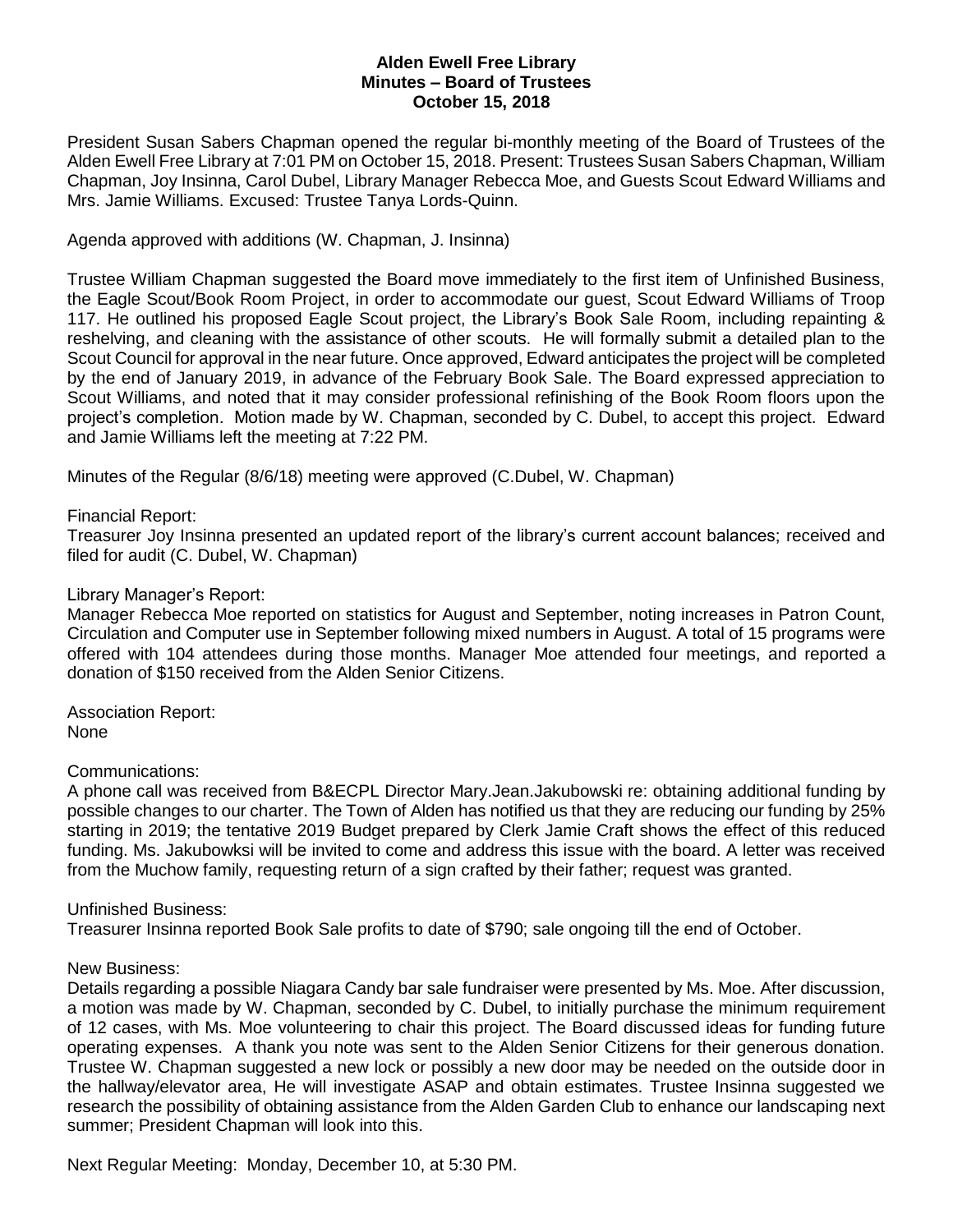# **Alden Ewell Free Library Minutes – Board of Trustees October 15, 2018**

President Susan Sabers Chapman opened the regular bi-monthly meeting of the Board of Trustees of the Alden Ewell Free Library at 7:01 PM on October 15, 2018. Present: Trustees Susan Sabers Chapman, William Chapman, Joy Insinna, Carol Dubel, Library Manager Rebecca Moe, and Guests Scout Edward Williams and Mrs. Jamie Williams. Excused: Trustee Tanya Lords-Quinn.

Agenda approved with additions (W. Chapman, J. Insinna)

Trustee William Chapman suggested the Board move immediately to the first item of Unfinished Business, the Eagle Scout/Book Room Project, in order to accommodate our guest, Scout Edward Williams of Troop 117. He outlined his proposed Eagle Scout project, the Library's Book Sale Room, including repainting & reshelving, and cleaning with the assistance of other scouts. He will formally submit a detailed plan to the Scout Council for approval in the near future. Once approved, Edward anticipates the project will be completed by the end of January 2019, in advance of the February Book Sale. The Board expressed appreciation to Scout Williams, and noted that it may consider professional refinishing of the Book Room floors upon the project's completion. Motion made by W. Chapman, seconded by C. Dubel, to accept this project. Edward and Jamie Williams left the meeting at 7:22 PM.

Minutes of the Regular (8/6/18) meeting were approved (C.Dubel, W. Chapman)

# Financial Report:

Treasurer Joy Insinna presented an updated report of the library's current account balances; received and filed for audit (C. Dubel, W. Chapman)

# Library Manager's Report:

Manager Rebecca Moe reported on statistics for August and September, noting increases in Patron Count, Circulation and Computer use in September following mixed numbers in August. A total of 15 programs were offered with 104 attendees during those months. Manager Moe attended four meetings, and reported a donation of \$150 received from the Alden Senior Citizens.

Association Report: None

### Communications:

A phone call was received from B&ECPL Director Mary.Jean.Jakubowski re: obtaining additional funding by possible changes to our charter. The Town of Alden has notified us that they are reducing our funding by 25% starting in 2019; the tentative 2019 Budget prepared by Clerk Jamie Craft shows the effect of this reduced funding. Ms. Jakubowksi will be invited to come and address this issue with the board. A letter was received from the Muchow family, requesting return of a sign crafted by their father; request was granted.

### Unfinished Business:

Treasurer Insinna reported Book Sale profits to date of \$790; sale ongoing till the end of October.

### New Business:

Details regarding a possible Niagara Candy bar sale fundraiser were presented by Ms. Moe. After discussion, a motion was made by W. Chapman, seconded by C. Dubel, to initially purchase the minimum requirement of 12 cases, with Ms. Moe volunteering to chair this project. The Board discussed ideas for funding future operating expenses. A thank you note was sent to the Alden Senior Citizens for their generous donation. Trustee W. Chapman suggested a new lock or possibly a new door may be needed on the outside door in the hallway/elevator area, He will investigate ASAP and obtain estimates. Trustee Insinna suggested we research the possibility of obtaining assistance from the Alden Garden Club to enhance our landscaping next summer; President Chapman will look into this.

Next Regular Meeting: Monday, December 10, at 5:30 PM.